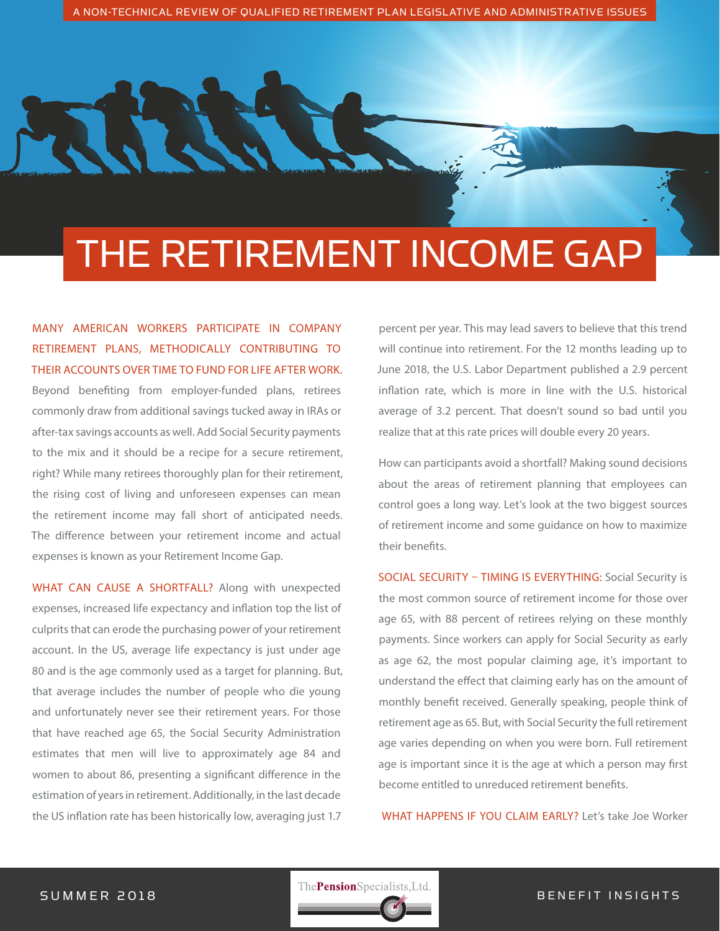# THE RETIREMENT INCOME GAP

MANY AMERICAN WORKERS PARTICIPATE IN COMPANY RETIREMENT PLANS, METHODICALLY CONTRIBUTING TO THEIR ACCOUNTS OVER TIME TO FUND FOR LIFE AFTER WORK. Beyond benefiting from employer-funded plans, retirees commonly draw from additional savings tucked away in IRAs or after-tax savings accounts as well. Add Social Security payments to the mix and it should be a recipe for a secure retirement, right? While many retirees thoroughly plan for their retirement, the rising cost of living and unforeseen expenses can mean the retirement income may fall short of anticipated needs. The difference between your retirement income and actual expenses is known as your Retirement Income Gap.

WHAT CAN CAUSE A SHORTFALL? Along with unexpected expenses, increased life expectancy and inflation top the list of culprits that can erode the purchasing power of your retirement account. In the US, average life expectancy is just under age 80 and is the age commonly used as a target for planning. But, that average includes the number of people who die young and unfortunately never see their retirement years. For those that have reached age 65, the Social Security Administration estimates that men will live to approximately age 84 and women to about 86, presenting a significant difference in the estimation of years in retirement. Additionally, in the last decade the US inflation rate has been historically low, averaging just 1.7

percent per year. This may lead savers to believe that this trend will continue into retirement. For the 12 months leading up to June 2018, the U.S. Labor Department published a 2.9 percent inflation rate, which is more in line with the U.S. historical average of 3.2 percent. That doesn't sound so bad until you realize that at this rate prices will double every 20 years.

How can participants avoid a shortfall? Making sound decisions about the areas of retirement planning that employees can control goes a long way. Let's look at the two biggest sources of retirement income and some guidance on how to maximize their benefits.

SOCIAL SECURITY – TIMING IS EVERYTHING: Social Security is the most common source of retirement income for those over age 65, with 88 percent of retirees relying on these monthly payments. Since workers can apply for Social Security as early as age 62, the most popular claiming age, it's important to understand the effect that claiming early has on the amount of monthly benefit received. Generally speaking, people think of retirement age as 65. But, with Social Security the full retirement age varies depending on when you were born. Full retirement age is important since it is the age at which a person may first become entitled to unreduced retirement benefits.

WHAT HAPPENS IF YOU CLAIM EARLY? Let's take Joe Worker

SUMMER 2018 **B ENERGY EXAMPLE THE SUMMER 2018**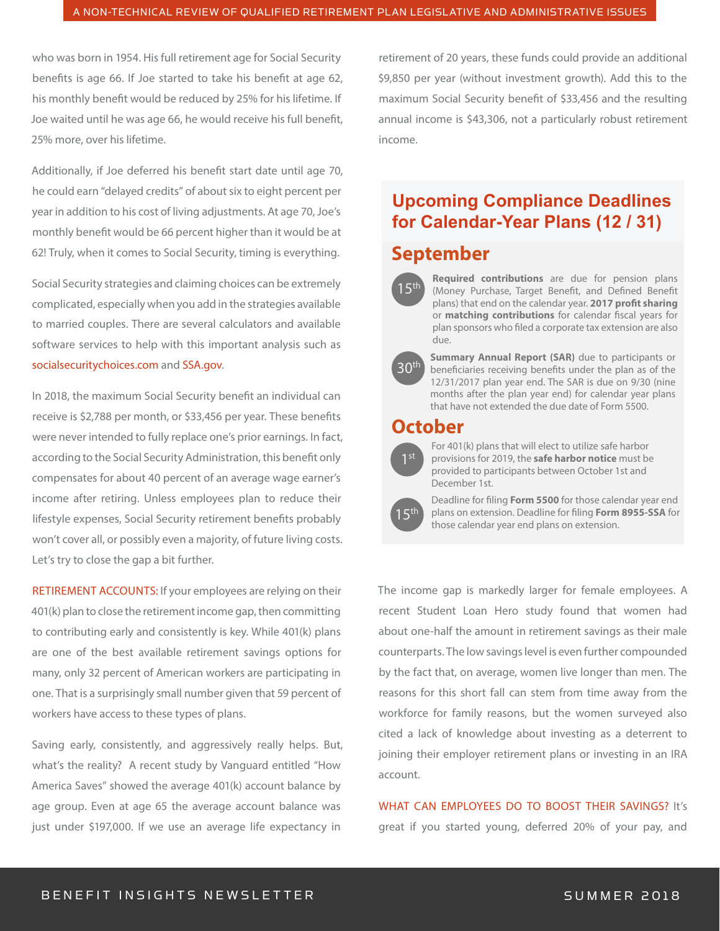who was born in 1954. His full retirement age for Social Security benefits is age 66. If Joe started to take his benefit at age 62, his monthly benefit would be reduced by 25% for his lifetime. If Joe waited until he was age 66, he would receive his full benefit, 25% more, over his lifetime.

Additionally, if Joe deferred his benefit start date until age 70, he could earn "delayed credits" of about six to eight percent per year in addition to his cost of living adjustments. At age 70, Joe's monthly benefit would be 66 percent higher than it would be at 62! Truly, when it comes to Social Security, timing is everything.

Social Security strategies and claiming choices can be extremely complicated, especially when you add in the strategies available to married couples. There are several calculators and available software services to help with this important analysis such as socialsecuritychoices.com and SSA.gov.

In 2018, the maximum Social Security benefit an individual can receive is \$2,788 per month, or \$33,456 per year. These benefits were never intended to fully replace one's prior earnings. In fact, according to the Social Security Administration, this benefit only compensates for about 40 percent of an average wage earner's income after retiring. Unless employees plan to reduce their lifestyle expenses, Social Security retirement benefits probably won't cover all, or possibly even a majority, of future living costs. Let's try to close the gap a bit further.

RETIREMENT ACCOUNTS: If your employees are relying on their 401(k) plan to close the retirement income gap, then committing to contributing early and consistently is key. While 401(k) plans are one of the best available retirement savings options for many, only 32 percent of American workers are participating in one. That is a surprisingly small number given that 59 percent of workers have access to these types of plans.

Saving early, consistently, and aggressively really helps. But, what's the reality? A recent study by Vanguard entitled "How America Saves" showed the average 401(k) account balance by age group. Even at age 65 the average account balance was just under \$197,000. If we use an average life expectancy in

retirement of 20 years, these funds could provide an additional \$9,850 per year (without investment growth). Add this to the maximum Social Security benefit of \$33,456 and the resulting annual income is \$43,306, not a particularly robust retirement income.

### **Upcoming Compliance Deadlines for Calendar-Year Plans (12 / 31)**

### **September**



**Required contributions** are due for pension plans (Money Purchase, Target Benefit, and Defined Benefit plans) that end on the calendar year. 2017 profit sharing or **matching contributions** for calendar fiscal years for plan sponsors who filed a corporate tax extension are also due.



**Summary Annual Report (SAR)** due to participants or beneficiaries receiving benefits under the plan as of the 12/31/2017 plan year end. The SAR is due on 9/30 (nine months after the plan year end) for calendar year plans that have not extended the due date of Form 5500.

#### **October**



For 401(k) plans that will elect to utilize safe harbor provisions for 2019, the **safe harbor notice** must be provided to participants between October 1st and December 1st.



Deadline for filing **Form 5500** for those calendar year end plans on extension. Deadline for ling **Form 8955-SSA** for those calendar year end plans on extension.

The income gap is markedly larger for female employees. A recent Student Loan Hero study found that women had about one-half the amount in retirement savings as their male counterparts. The low savings level is even further compounded by the fact that, on average, women live longer than men. The reasons for this short fall can stem from time away from the workforce for family reasons, but the women surveyed also cited a lack of knowledge about investing as a deterrent to joining their employer retirement plans or investing in an IRA account.

WHAT CAN EMPLOYEES DO TO BOOST THEIR SAVINGS? It's great if you started young, deferred 20% of your pay, and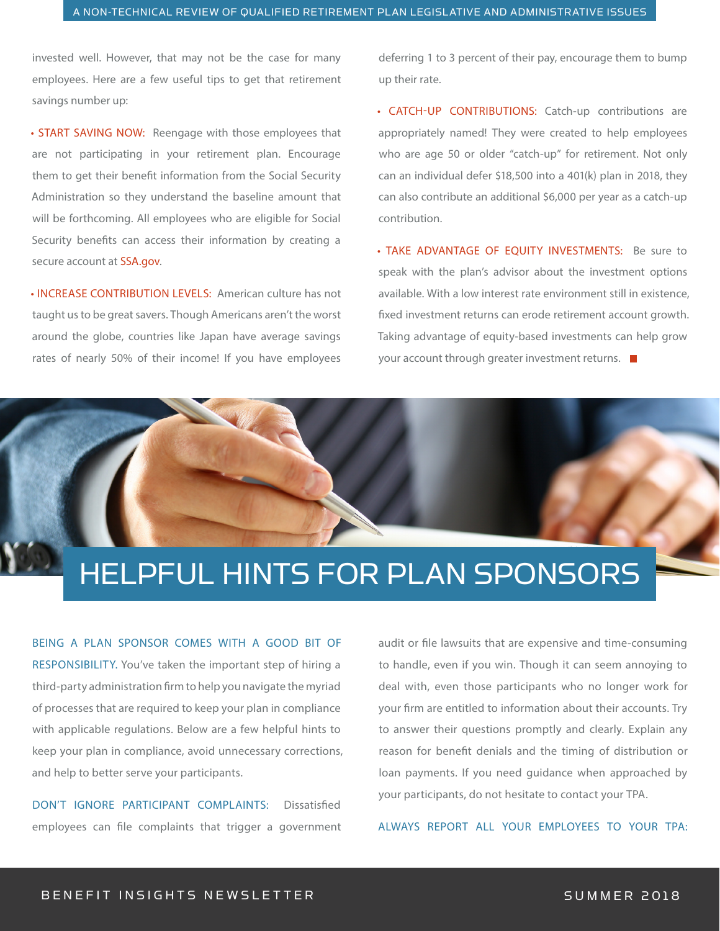invested well. However, that may not be the case for many employees. Here are a few useful tips to get that retirement savings number up:

• START SAVING NOW: Reengage with those employees that are not participating in your retirement plan. Encourage them to get their benefit information from the Social Security Administration so they understand the baseline amount that will be forthcoming. All employees who are eligible for Social Security benefits can access their information by creating a secure account at SSA.gov.

• INCREASE CONTRIBUTION LEVELS: American culture has not taught us to be great savers. Though Americans aren't the worst around the globe, countries like Japan have average savings rates of nearly 50% of their income! If you have employees

deferring 1 to 3 percent of their pay, encourage them to bump up their rate.

• CATCH-UP CONTRIBUTIONS: Catch-up contributions are appropriately named! They were created to help employees who are age 50 or older "catch-up" for retirement. Not only can an individual defer \$18,500 into a 401(k) plan in 2018, they can also contribute an additional \$6,000 per year as a catch-up contribution.

• TAKE ADVANTAGE OF EOUITY INVESTMENTS: Be sure to speak with the plan's advisor about the investment options available. With a low interest rate environment still in existence, fixed investment returns can erode retirement account growth. Taking advantage of equity-based investments can help grow your account through greater investment returns.  $\blacksquare$ 

## HELPFUL HINTS FOR PLAN SPONSORS

BEING A PLAN SPONSOR COMES WITH A GOOD BIT OF RESPONSIBILITY. You've taken the important step of hiring a third-party administration firm to help you navigate the myriad of processes that are required to keep your plan in compliance with applicable regulations. Below are a few helpful hints to keep your plan in compliance, avoid unnecessary corrections, and help to better serve your participants.

DON'T IGNORE PARTICIPANT COMPLAINTS: Dissatisfied employees can file complaints that trigger a government

audit or file lawsuits that are expensive and time-consuming to handle, even if you win. Though it can seem annoying to deal with, even those participants who no longer work for your firm are entitled to information about their accounts. Try to answer their questions promptly and clearly. Explain any reason for benefit denials and the timing of distribution or loan payments. If you need guidance when approached by your participants, do not hesitate to contact your TPA.

ALWAYS REPORT ALL YOUR EMPLOYEES TO YOUR TPA: